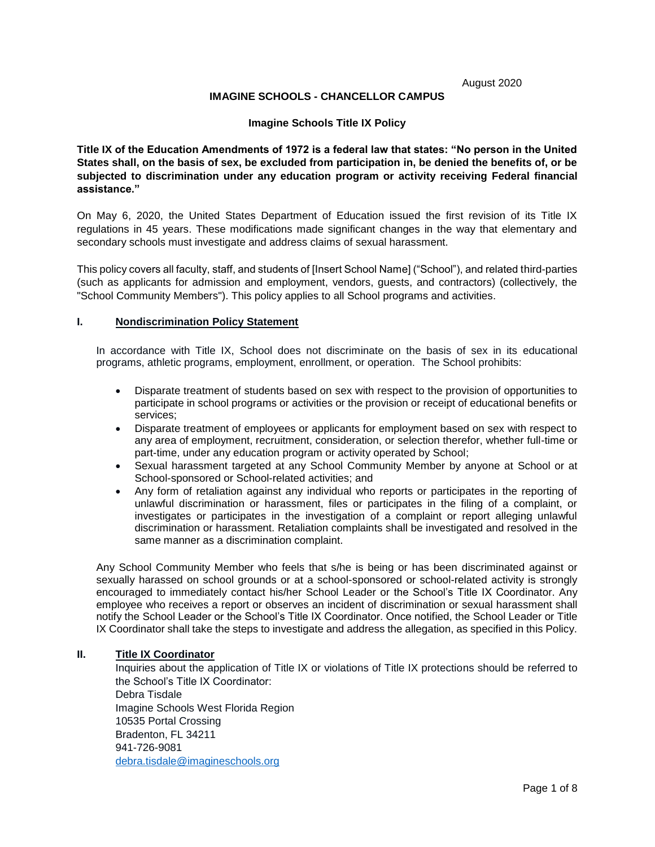August 2020

### **IMAGINE SCHOOLS - CHANCELLOR CAMPUS**

#### **Imagine Schools Title IX Policy**

**Title IX of the Education Amendments of 1972 is a federal law that states: "No person in the United States shall, on the basis of sex, be excluded from participation in, be denied the benefits of, or be subjected to discrimination under any education program or activity receiving Federal financial assistance."**

On May 6, 2020, the United States Department of Education issued the first revision of its Title IX regulations in 45 years. These modifications made significant changes in the way that elementary and secondary schools must investigate and address claims of sexual harassment.

This policy covers all faculty, staff, and students of [Insert School Name] ("School"), and related third-parties (such as applicants for admission and employment, vendors, guests, and contractors) (collectively, the "School Community Members"). This policy applies to all School programs and activities.

### **I. Nondiscrimination Policy Statement**

In accordance with Title IX, School does not discriminate on the basis of sex in its educational programs, athletic programs, employment, enrollment, or operation. The School prohibits:

- Disparate treatment of students based on sex with respect to the provision of opportunities to participate in school programs or activities or the provision or receipt of educational benefits or services;
- Disparate treatment of employees or applicants for employment based on sex with respect to any area of employment, recruitment, consideration, or selection therefor, whether full-time or part-time, under any education program or activity operated by School;
- Sexual harassment targeted at any School Community Member by anyone at School or at School-sponsored or School-related activities; and
- Any form of retaliation against any individual who reports or participates in the reporting of unlawful discrimination or harassment, files or participates in the filing of a complaint, or investigates or participates in the investigation of a complaint or report alleging unlawful discrimination or harassment. Retaliation complaints shall be investigated and resolved in the same manner as a discrimination complaint.

Any School Community Member who feels that s/he is being or has been discriminated against or sexually harassed on school grounds or at a school-sponsored or school-related activity is strongly encouraged to immediately contact his/her School Leader or the School's Title IX Coordinator. Any employee who receives a report or observes an incident of discrimination or sexual harassment shall notify the School Leader or the School's Title IX Coordinator. Once notified, the School Leader or Title IX Coordinator shall take the steps to investigate and address the allegation, as specified in this Policy.

### **II. Title IX Coordinator**

Inquiries about the application of Title IX or violations of Title IX protections should be referred to the School's Title IX Coordinator: Debra Tisdale Imagine Schools West Florida Region 10535 Portal Crossing Bradenton, FL 34211 941-726-9081 [debra.tisdale@imagineschools.org](mailto:debra.tisdale@imagineschools.org)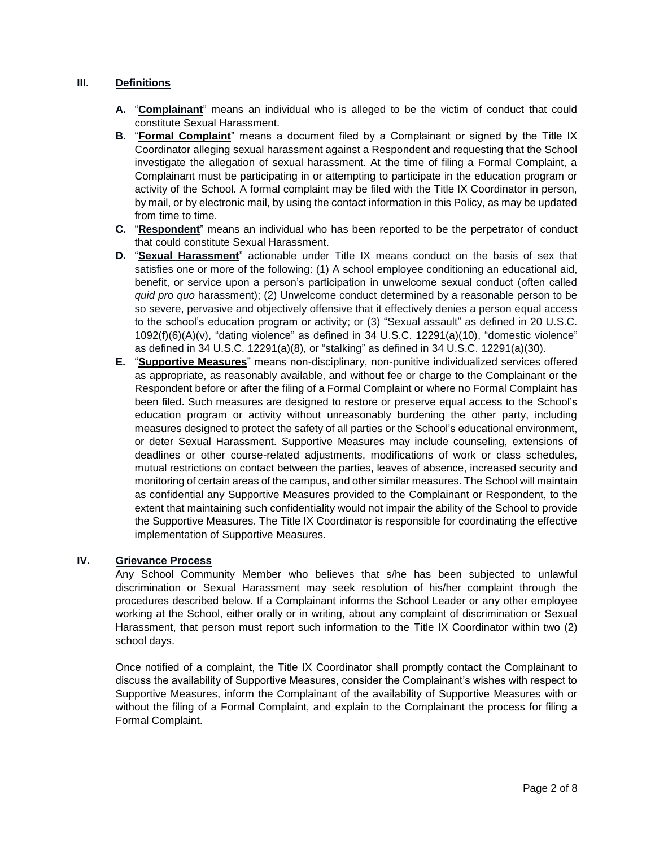# **III. Definitions**

- **A.** "**Complainant**" means an individual who is alleged to be the victim of conduct that could constitute Sexual Harassment.
- **B.** "**Formal Complaint**" means a document filed by a Complainant or signed by the Title IX Coordinator alleging sexual harassment against a Respondent and requesting that the School investigate the allegation of sexual harassment. At the time of filing a Formal Complaint, a Complainant must be participating in or attempting to participate in the education program or activity of the School. A formal complaint may be filed with the Title IX Coordinator in person, by mail, or by electronic mail, by using the contact information in this Policy, as may be updated from time to time.
- **C.** "**Respondent**" means an individual who has been reported to be the perpetrator of conduct that could constitute Sexual Harassment.
- **D.** "**Sexual Harassment**" actionable under Title IX means conduct on the basis of sex that satisfies one or more of the following: (1) A school employee conditioning an educational aid, benefit, or service upon a person's participation in unwelcome sexual conduct (often called *quid pro quo* harassment); (2) Unwelcome conduct determined by a reasonable person to be so severe, pervasive and objectively offensive that it effectively denies a person equal access to the school's education program or activity; or (3) "Sexual assault" as defined in 20 U.S.C. 1092(f)(6)(A)(v), "dating violence" as defined in 34 U.S.C. 12291(a)(10), "domestic violence" as defined in 34 U.S.C. 12291(a)(8), or "stalking" as defined in 34 U.S.C. 12291(a)(30).
- **E.** "**Supportive Measures**" means non-disciplinary, non-punitive individualized services offered as appropriate, as reasonably available, and without fee or charge to the Complainant or the Respondent before or after the filing of a Formal Complaint or where no Formal Complaint has been filed. Such measures are designed to restore or preserve equal access to the School's education program or activity without unreasonably burdening the other party, including measures designed to protect the safety of all parties or the School's educational environment, or deter Sexual Harassment. Supportive Measures may include counseling, extensions of deadlines or other course-related adjustments, modifications of work or class schedules, mutual restrictions on contact between the parties, leaves of absence, increased security and monitoring of certain areas of the campus, and other similar measures. The School will maintain as confidential any Supportive Measures provided to the Complainant or Respondent, to the extent that maintaining such confidentiality would not impair the ability of the School to provide the Supportive Measures. The Title IX Coordinator is responsible for coordinating the effective implementation of Supportive Measures.

# **IV. Grievance Process**

Any School Community Member who believes that s/he has been subjected to unlawful discrimination or Sexual Harassment may seek resolution of his/her complaint through the procedures described below. If a Complainant informs the School Leader or any other employee working at the School, either orally or in writing, about any complaint of discrimination or Sexual Harassment, that person must report such information to the Title IX Coordinator within two (2) school days.

Once notified of a complaint, the Title IX Coordinator shall promptly contact the Complainant to discuss the availability of Supportive Measures, consider the Complainant's wishes with respect to Supportive Measures, inform the Complainant of the availability of Supportive Measures with or without the filing of a Formal Complaint, and explain to the Complainant the process for filing a Formal Complaint.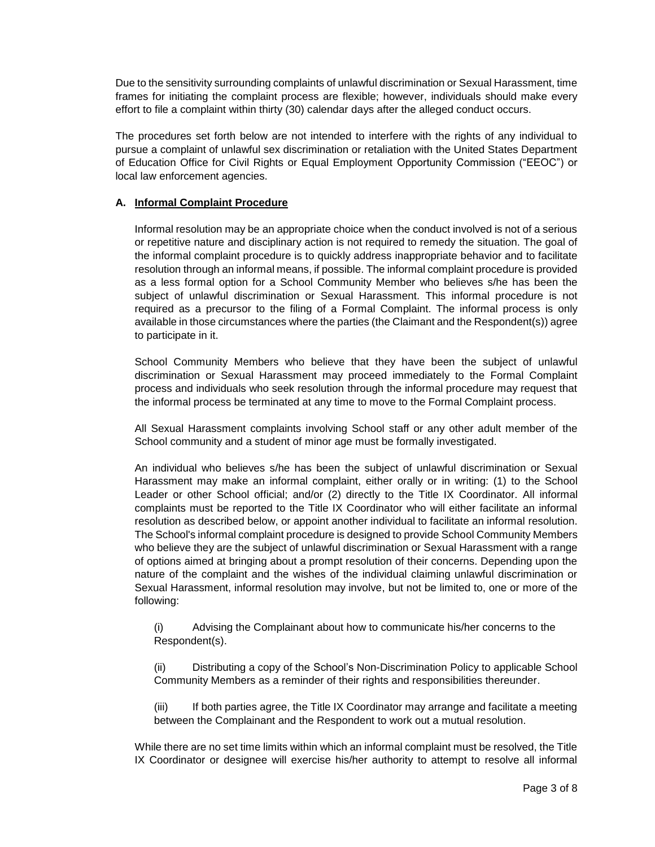Due to the sensitivity surrounding complaints of unlawful discrimination or Sexual Harassment, time frames for initiating the complaint process are flexible; however, individuals should make every effort to file a complaint within thirty (30) calendar days after the alleged conduct occurs.

The procedures set forth below are not intended to interfere with the rights of any individual to pursue a complaint of unlawful sex discrimination or retaliation with the United States Department of Education Office for Civil Rights or Equal Employment Opportunity Commission ("EEOC") or local law enforcement agencies.

## **A. Informal Complaint Procedure**

Informal resolution may be an appropriate choice when the conduct involved is not of a serious or repetitive nature and disciplinary action is not required to remedy the situation. The goal of the informal complaint procedure is to quickly address inappropriate behavior and to facilitate resolution through an informal means, if possible. The informal complaint procedure is provided as a less formal option for a School Community Member who believes s/he has been the subject of unlawful discrimination or Sexual Harassment. This informal procedure is not required as a precursor to the filing of a Formal Complaint. The informal process is only available in those circumstances where the parties (the Claimant and the Respondent(s)) agree to participate in it.

School Community Members who believe that they have been the subject of unlawful discrimination or Sexual Harassment may proceed immediately to the Formal Complaint process and individuals who seek resolution through the informal procedure may request that the informal process be terminated at any time to move to the Formal Complaint process.

All Sexual Harassment complaints involving School staff or any other adult member of the School community and a student of minor age must be formally investigated.

An individual who believes s/he has been the subject of unlawful discrimination or Sexual Harassment may make an informal complaint, either orally or in writing: (1) to the School Leader or other School official; and/or (2) directly to the Title IX Coordinator. All informal complaints must be reported to the Title IX Coordinator who will either facilitate an informal resolution as described below, or appoint another individual to facilitate an informal resolution. The School's informal complaint procedure is designed to provide School Community Members who believe they are the subject of unlawful discrimination or Sexual Harassment with a range of options aimed at bringing about a prompt resolution of their concerns. Depending upon the nature of the complaint and the wishes of the individual claiming unlawful discrimination or Sexual Harassment, informal resolution may involve, but not be limited to, one or more of the following:

(i) Advising the Complainant about how to communicate his/her concerns to the Respondent(s).

(ii) Distributing a copy of the School's Non-Discrimination Policy to applicable School Community Members as a reminder of their rights and responsibilities thereunder.

(iii) If both parties agree, the Title IX Coordinator may arrange and facilitate a meeting between the Complainant and the Respondent to work out a mutual resolution.

While there are no set time limits within which an informal complaint must be resolved, the Title IX Coordinator or designee will exercise his/her authority to attempt to resolve all informal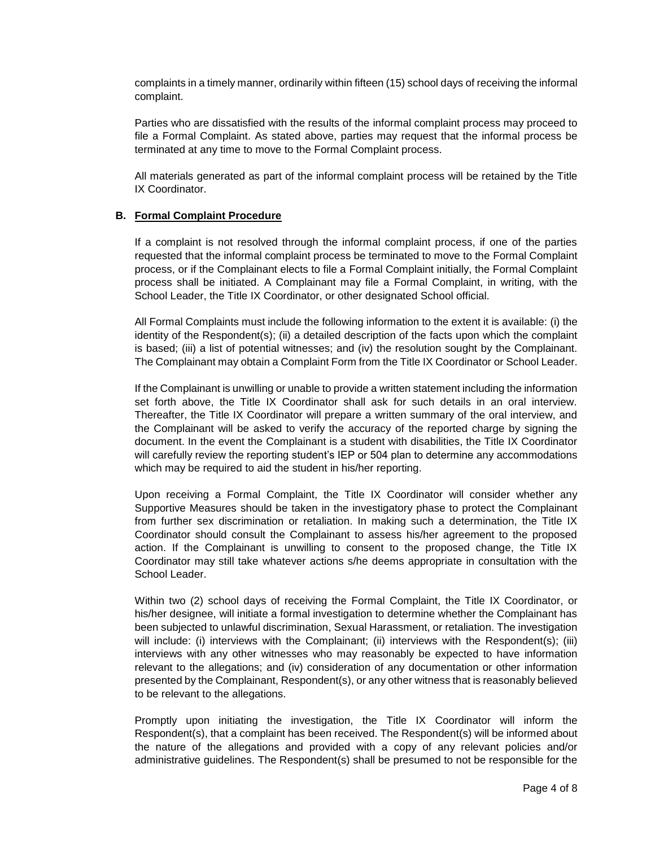complaints in a timely manner, ordinarily within fifteen (15) school days of receiving the informal complaint.

Parties who are dissatisfied with the results of the informal complaint process may proceed to file a Formal Complaint. As stated above, parties may request that the informal process be terminated at any time to move to the Formal Complaint process.

All materials generated as part of the informal complaint process will be retained by the Title IX Coordinator.

### **B. Formal Complaint Procedure**

If a complaint is not resolved through the informal complaint process, if one of the parties requested that the informal complaint process be terminated to move to the Formal Complaint process, or if the Complainant elects to file a Formal Complaint initially, the Formal Complaint process shall be initiated. A Complainant may file a Formal Complaint, in writing, with the School Leader, the Title IX Coordinator, or other designated School official.

All Formal Complaints must include the following information to the extent it is available: (i) the identity of the Respondent(s); (ii) a detailed description of the facts upon which the complaint is based; (iii) a list of potential witnesses; and (iv) the resolution sought by the Complainant. The Complainant may obtain a Complaint Form from the Title IX Coordinator or School Leader.

If the Complainant is unwilling or unable to provide a written statement including the information set forth above, the Title IX Coordinator shall ask for such details in an oral interview. Thereafter, the Title IX Coordinator will prepare a written summary of the oral interview, and the Complainant will be asked to verify the accuracy of the reported charge by signing the document. In the event the Complainant is a student with disabilities, the Title IX Coordinator will carefully review the reporting student's IEP or 504 plan to determine any accommodations which may be required to aid the student in his/her reporting.

Upon receiving a Formal Complaint, the Title IX Coordinator will consider whether any Supportive Measures should be taken in the investigatory phase to protect the Complainant from further sex discrimination or retaliation. In making such a determination, the Title IX Coordinator should consult the Complainant to assess his/her agreement to the proposed action. If the Complainant is unwilling to consent to the proposed change, the Title IX Coordinator may still take whatever actions s/he deems appropriate in consultation with the School Leader.

Within two (2) school days of receiving the Formal Complaint, the Title IX Coordinator, or his/her designee, will initiate a formal investigation to determine whether the Complainant has been subjected to unlawful discrimination, Sexual Harassment, or retaliation. The investigation will include: (i) interviews with the Complainant; (ii) interviews with the Respondent(s); (iii) interviews with any other witnesses who may reasonably be expected to have information relevant to the allegations; and (iv) consideration of any documentation or other information presented by the Complainant, Respondent(s), or any other witness that is reasonably believed to be relevant to the allegations.

Promptly upon initiating the investigation, the Title IX Coordinator will inform the Respondent(s), that a complaint has been received. The Respondent(s) will be informed about the nature of the allegations and provided with a copy of any relevant policies and/or administrative guidelines. The Respondent(s) shall be presumed to not be responsible for the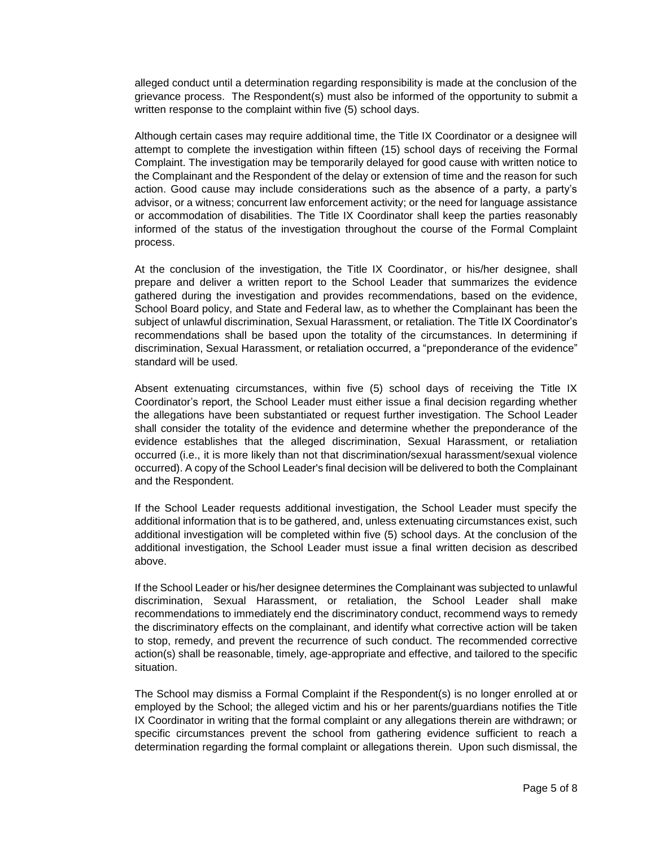alleged conduct until a determination regarding responsibility is made at the conclusion of the grievance process. The Respondent(s) must also be informed of the opportunity to submit a written response to the complaint within five (5) school days.

Although certain cases may require additional time, the Title IX Coordinator or a designee will attempt to complete the investigation within fifteen (15) school days of receiving the Formal Complaint. The investigation may be temporarily delayed for good cause with written notice to the Complainant and the Respondent of the delay or extension of time and the reason for such action. Good cause may include considerations such as the absence of a party, a party's advisor, or a witness; concurrent law enforcement activity; or the need for language assistance or accommodation of disabilities. The Title IX Coordinator shall keep the parties reasonably informed of the status of the investigation throughout the course of the Formal Complaint process.

At the conclusion of the investigation, the Title IX Coordinator, or his/her designee, shall prepare and deliver a written report to the School Leader that summarizes the evidence gathered during the investigation and provides recommendations, based on the evidence, School Board policy, and State and Federal law, as to whether the Complainant has been the subject of unlawful discrimination, Sexual Harassment, or retaliation. The Title IX Coordinator's recommendations shall be based upon the totality of the circumstances. In determining if discrimination, Sexual Harassment, or retaliation occurred, a "preponderance of the evidence" standard will be used.

Absent extenuating circumstances, within five (5) school days of receiving the Title IX Coordinator's report, the School Leader must either issue a final decision regarding whether the allegations have been substantiated or request further investigation. The School Leader shall consider the totality of the evidence and determine whether the preponderance of the evidence establishes that the alleged discrimination, Sexual Harassment, or retaliation occurred (i.e., it is more likely than not that discrimination/sexual harassment/sexual violence occurred). A copy of the School Leader's final decision will be delivered to both the Complainant and the Respondent.

If the School Leader requests additional investigation, the School Leader must specify the additional information that is to be gathered, and, unless extenuating circumstances exist, such additional investigation will be completed within five (5) school days. At the conclusion of the additional investigation, the School Leader must issue a final written decision as described above.

If the School Leader or his/her designee determines the Complainant was subjected to unlawful discrimination, Sexual Harassment, or retaliation, the School Leader shall make recommendations to immediately end the discriminatory conduct, recommend ways to remedy the discriminatory effects on the complainant, and identify what corrective action will be taken to stop, remedy, and prevent the recurrence of such conduct. The recommended corrective action(s) shall be reasonable, timely, age-appropriate and effective, and tailored to the specific situation.

The School may dismiss a Formal Complaint if the Respondent(s) is no longer enrolled at or employed by the School; the alleged victim and his or her parents/guardians notifies the Title IX Coordinator in writing that the formal complaint or any allegations therein are withdrawn; or specific circumstances prevent the school from gathering evidence sufficient to reach a determination regarding the formal complaint or allegations therein. Upon such dismissal, the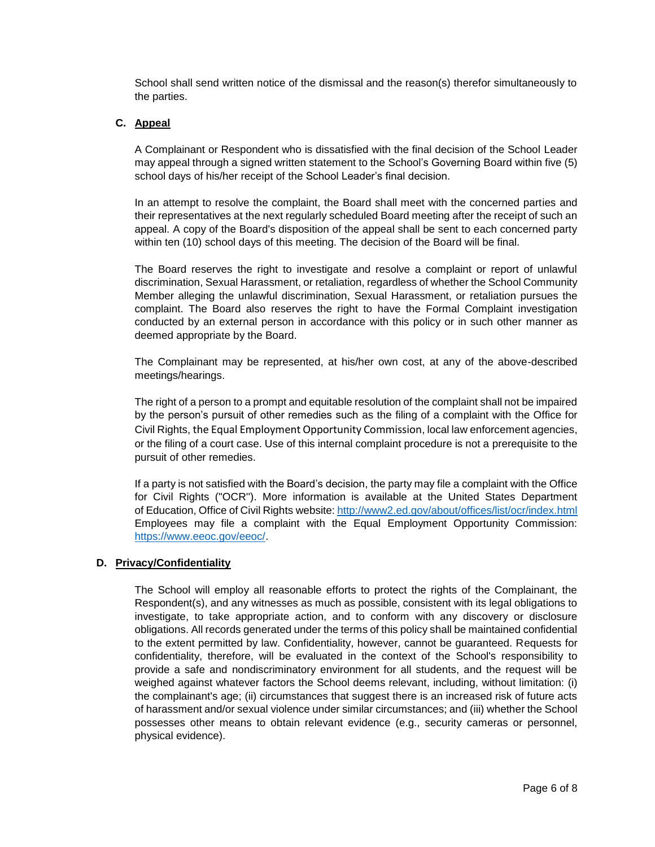School shall send written notice of the dismissal and the reason(s) therefor simultaneously to the parties.

# **C. Appeal**

A Complainant or Respondent who is dissatisfied with the final decision of the School Leader may appeal through a signed written statement to the School's Governing Board within five (5) school days of his/her receipt of the School Leader's final decision.

In an attempt to resolve the complaint, the Board shall meet with the concerned parties and their representatives at the next regularly scheduled Board meeting after the receipt of such an appeal. A copy of the Board's disposition of the appeal shall be sent to each concerned party within ten (10) school days of this meeting. The decision of the Board will be final.

The Board reserves the right to investigate and resolve a complaint or report of unlawful discrimination, Sexual Harassment, or retaliation, regardless of whether the School Community Member alleging the unlawful discrimination, Sexual Harassment, or retaliation pursues the complaint. The Board also reserves the right to have the Formal Complaint investigation conducted by an external person in accordance with this policy or in such other manner as deemed appropriate by the Board.

The Complainant may be represented, at his/her own cost, at any of the above-described meetings/hearings.

The right of a person to a prompt and equitable resolution of the complaint shall not be impaired by the person's pursuit of other remedies such as the filing of a complaint with the Office for Civil Rights, the Equal Employment Opportunity Commission, local law enforcement agencies, or the filing of a court case. Use of this internal complaint procedure is not a prerequisite to the pursuit of other remedies.

If a party is not satisfied with the Board's decision, the party may file a complaint with the Office for Civil Rights ("OCR''). More information is available at the United States Department of Education, Office of Civil Rights website[: http://www2.ed.gov/about/offices/list/ocr/index.html](http://www2.ed.gov/about/offices/list/ocr/index.html) Employees may file a complaint with the Equal Employment Opportunity Commission: [https://www.eeoc.gov/eeoc/.](https://www.eeoc.gov/eeoc/)

### **D. Privacy/Confidentiality**

The School will employ all reasonable efforts to protect the rights of the Complainant, the Respondent(s), and any witnesses as much as possible, consistent with its legal obligations to investigate, to take appropriate action, and to conform with any discovery or disclosure obligations. All records generated under the terms of this policy shall be maintained confidential to the extent permitted by law. Confidentiality, however, cannot be guaranteed. Requests for confidentiality, therefore, will be evaluated in the context of the School's responsibility to provide a safe and nondiscriminatory environment for all students, and the request will be weighed against whatever factors the School deems relevant, including, without limitation: (i) the complainant's age; (ii) circumstances that suggest there is an increased risk of future acts of harassment and/or sexual violence under similar circumstances; and (iii) whether the School possesses other means to obtain relevant evidence (e.g., security cameras or personnel, physical evidence).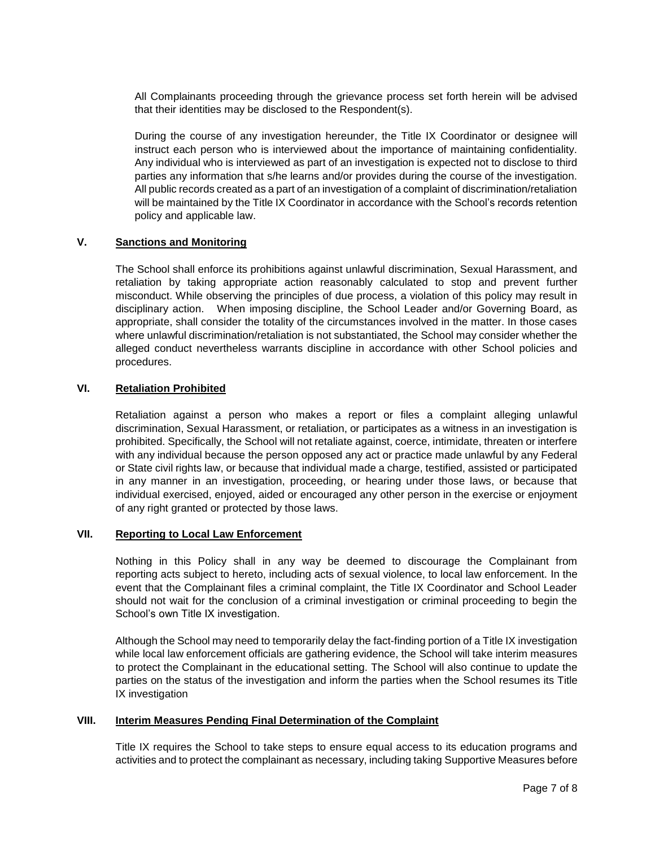All Complainants proceeding through the grievance process set forth herein will be advised that their identities may be disclosed to the Respondent(s).

During the course of any investigation hereunder, the Title IX Coordinator or designee will instruct each person who is interviewed about the importance of maintaining confidentiality. Any individual who is interviewed as part of an investigation is expected not to disclose to third parties any information that s/he learns and/or provides during the course of the investigation. All public records created as a part of an investigation of a complaint of discrimination/retaliation will be maintained by the Title IX Coordinator in accordance with the School's records retention policy and applicable law.

# **V. Sanctions and Monitoring**

The School shall enforce its prohibitions against unlawful discrimination, Sexual Harassment, and retaliation by taking appropriate action reasonably calculated to stop and prevent further misconduct. While observing the principles of due process, a violation of this policy may result in disciplinary action. When imposing discipline, the School Leader and/or Governing Board, as appropriate, shall consider the totality of the circumstances involved in the matter. In those cases where unlawful discrimination/retaliation is not substantiated, the School may consider whether the alleged conduct nevertheless warrants discipline in accordance with other School policies and procedures.

### **VI. Retaliation Prohibited**

Retaliation against a person who makes a report or files a complaint alleging unlawful discrimination, Sexual Harassment, or retaliation, or participates as a witness in an investigation is prohibited. Specifically, the School will not retaliate against, coerce, intimidate, threaten or interfere with any individual because the person opposed any act or practice made unlawful by any Federal or State civil rights law, or because that individual made a charge, testified, assisted or participated in any manner in an investigation, proceeding, or hearing under those laws, or because that individual exercised, enjoyed, aided or encouraged any other person in the exercise or enjoyment of any right granted or protected by those laws.

# **VII. Reporting to Local Law Enforcement**

Nothing in this Policy shall in any way be deemed to discourage the Complainant from reporting acts subject to hereto, including acts of sexual violence, to local law enforcement. In the event that the Complainant files a criminal complaint, the Title IX Coordinator and School Leader should not wait for the conclusion of a criminal investigation or criminal proceeding to begin the School's own Title IX investigation.

Although the School may need to temporarily delay the fact-finding portion of a Title IX investigation while local law enforcement officials are gathering evidence, the School will take interim measures to protect the Complainant in the educational setting. The School will also continue to update the parties on the status of the investigation and inform the parties when the School resumes its Title IX investigation

### **VIII. Interim Measures Pending Final Determination of the Complaint**

Title IX requires the School to take steps to ensure equal access to its education programs and activities and to protect the complainant as necessary, including taking Supportive Measures before